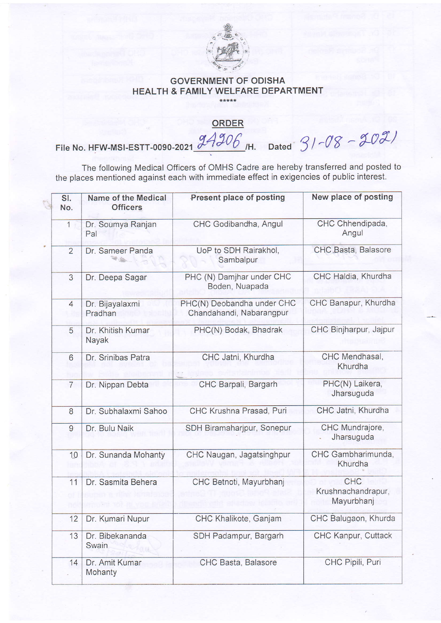

## GOVERNMENT OF ODISHA HEALTH & FAMILY WELFARE DEPARTMENT

## **ORDER**

File No. HFW-MSI-ESTT-0090-2021  $\frac{94306}{.}$ H. Dated  $31 -08 - 20\%$ 

The following Medical Officers of OMHS Cadre are hereby transferred and posted to the places mentioned against each with immediate effect in exigencies of public inierest.

|  | SI.<br>No.     | Name of the Medical<br><b>Officers</b> | Present place of posting                               | New place of posting                    |
|--|----------------|----------------------------------------|--------------------------------------------------------|-----------------------------------------|
|  | $\mathbf{1}$   | Dr. Soumya Ranjan<br>Pal               | CHC Godibandha, Angul                                  | CHC Chhendipada,<br>Angul               |
|  | $\overline{2}$ | Dr. Sameer Panda                       | UoP to SDH Rairakhol,<br>Sambalpur                     | CHC Basta, Balasore                     |
|  | 3              | Dr. Deepa Sagar                        | PHC (N) Damjhar under CHC<br>Boden, Nuapada            | CHC Haldia, Khurdha                     |
|  | $\overline{4}$ | Dr. Bijayalaxmi<br>Pradhan             | PHC(N) Deobandha under CHC<br>Chandahandi, Nabarangpur | CHC Banapur, Khurdha                    |
|  | 5              | Dr. Khitish Kumar<br>Nayak             | PHC(N) Bodak, Bhadrak                                  | CHC Binjharpur, Jajpur                  |
|  | 6              | Dr. Srinibas Patra                     | CHC Jatni, Khurdha                                     | CHC Mendhasal,<br>Khurdha               |
|  | $\overline{7}$ | Dr. Nippan Debta                       | CHC Barpali, Bargarh                                   | PHC(N) Laikera,<br>Jharsuguda           |
|  | 8              | Dr. Subhalaxmi Sahoo                   | CHC Krushna Prasad, Puri                               | CHC Jatni, Khurdha                      |
|  | $\overline{9}$ | Dr. Bulu Naik                          | SDH Biramaharjpur, Sonepur                             | CHC Mundrajore,<br>Jharsuguda           |
|  | 10             | Dr. Sunanda Mohanty                    | CHC Naugan, Jagatsinghpur                              | CHC Gambharimunda,<br>Khurdha           |
|  | 11             | Dr. Sasmita Behera                     | CHC Betnoti, Mayurbhanj                                | CHC<br>Krushnachandrapur,<br>Mayurbhanj |
|  | 12             | Dr. Kumari Nupur                       | CHC Khalikote, Ganjam                                  | CHC Balugaon, Khurda                    |
|  | 13             | Dr. Bibekananda<br>Swain               | SDH Padampur, Bargarh                                  | CHC Kanpur, Cuttack                     |
|  | 14             | Dr. Amit Kumar<br>Mohanty              | CHC Basta, Balasore                                    | CHC Pipili, Puri                        |